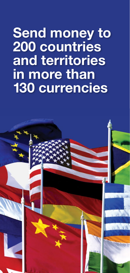# **Send money to 200 countries and territories in more than 130 currencies**

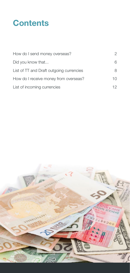## **Contents**

| How do I send money overseas?            | 2   |
|------------------------------------------|-----|
| Did you know that                        | 6.  |
| List of TT and Draft outgoing currencies | 8   |
| How do I receive money from overseas?    | 10  |
| List of incoming currencies              | 12. |

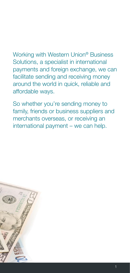Working with Western Union® Business Solutions, a specialist in international payments and foreign exchange, we can facilitate sending and receiving money around the world in quick, reliable and affordable ways.

So whether you're sending money to family, friends or business suppliers and merchants overseas, or receiving an international payment – we can help.

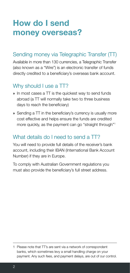### <span id="page-3-0"></span>**How do I send money overseas?**

#### Sending money via Telegraphic Transfer (TT)

Available in more than 130 currencies, a Telegraphic Transfer (also known as a "Wire") is an electronic transfer of funds directly credited to a beneficiary's overseas bank account.

### Why should I use a TT?

- **»** In most cases a TT is the quickest way to send funds abroad (a TT will normally take two to three business days to reach the beneficiary)
- **»** Sending a TT in the beneficiary's currency is usually more cost effective and helps ensure the funds are credited more quickly, as the payment can go "straight through"<sup>1</sup>

#### What details do I need to send a TT?

You will need to provide full details of the receiver's bank account, including their IBAN (International Bank Account Number) if they are in Europe.

To comply with Australian Government regulations you must also provide the beneficiary's full street address.

<sup>1</sup> Please note that TT's are sent via a network of correspondent banks, which sometimes levy a small handling charge on your payment. Any such fees, and payment delays, are out of our control.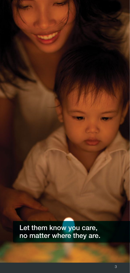Let them know you care, no matter where they are.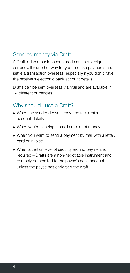#### Sending money via Draft

A Draft is like a bank cheque made out in a foreign currency. It's another way for you to make payments and settle a transaction overseas, especially if you don't have the receiver's electronic bank account details.

Drafts can be sent overseas via mail and are available in 24 different currencies.

#### Why should I use a Draft?

- **»** When the sender doesn't know the recipient's account details
- **»** When you're sending a small amount of money
- **»** When you want to send a payment by mail with a letter, card or invoice
- **»** When a certain level of security around payment is required – Drafts are a non-negotiable instrument and can only be credited to the payee's bank account, unless the payee has endorsed the draft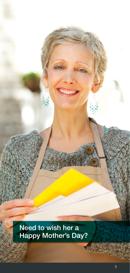Need to wish her a Happy Mother's Day?

in.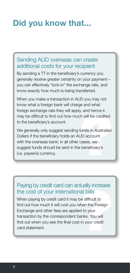### <span id="page-7-0"></span>**Did you know that...**

#### Sending AUD overseas can create additional costs for your recipient

By sending a TT in the beneficiary's currency you generally receive greater certainty on your payment – you can effectively "lock-in" the exchange rate, and know exactly how much is being transferred.

When you make a transaction in AUD you may not know what a foreign bank will charge and what foreign exchange rate they will apply, and hence it may be difficult to find out how much will be credited to the beneficiary's account.

A will be credited<br>inds in Australian<br>D account<br>cases, we<br>beneficiary's We generally only suggest sending funds in Australian Dollars if the beneficiary holds an AUD account with the overseas bank; in all other cases, we suggest funds should be sent in the beneficiary's (i.e. payee's) currency.

#### Paying by credit card can actually increase the cost of your international bills

al bills<br>al bills<br>e difficult to<br>hen the Foreign<br>d to your<br>anks. You will<br>in your credit When paying by credit card it may be difficult to find out how much it will cost you when the Foreign Exchange and other fees are applied to your transaction by the correspondent banks. You will find out when you see the final cost in your credit card statement.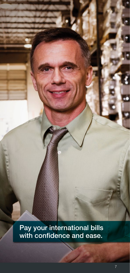Pay your international bills with confidence and ease.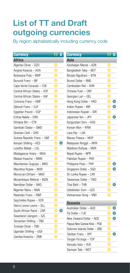### <span id="page-9-0"></span>**List of TT and Draft outgoing currencies**

By region alphabetically including currency code

| Africa<br>Asia<br>O<br>Azerbaijan Manat - AZN<br>O<br>Algerian Dinar – DZD<br>O<br>⋂<br>Angola Kwanza – AOA<br>Bangladesh Taka – BDT<br>O<br>O<br>Botswana Pula - BWP<br>Bhutan Ngultram - BTN<br>O<br>Burundi Franc - BIF<br>O<br>Brunei Dollar - BND<br>O<br>O<br>Cape Verde Escaudo - CVE<br>Cambodian Riel - KHR<br>O<br>Central African States - XOF<br>O<br>Chinese Yuan - CNY<br>O<br>O<br>Central African States - XAF<br>Georgian Lari - GEL<br>O<br>O<br>◯<br>Comoros Franc - KMF<br>Hong Kong Dollar - HKD<br>∩<br>O<br>O<br>Djibouti Franc - DJF<br>Indian Rupee - INR<br>O<br>O<br>Egyptian Pound - EGP<br>Indonesian Rupiah - IDR<br>O<br>O<br>◠<br>Eritrea Nakfa - ERN<br>Japanese Yen - JPY<br>O<br>O<br>Ethiopia Birr - ETB<br>Kyrgyzstani Som - KGS<br>Gambian Dalasi - GMD<br>O<br>Korean Won – KRW<br>Ghanian Cedi - GHS<br>O<br>Laos Kip - LAK<br>O<br>C<br>Guinea Republic Franc - GNF<br>Macau Pataca – MOP<br>O<br>Kenyan Shilling - KES<br>C<br>$\bigcirc$<br>Malaysian Ringgit - MYR<br>0<br>Lesotho Malati - LSL<br>Maldives Rufiyaa - MVR<br>O<br>O<br>Madagascar Ariary - MGA<br>Nepal Rupee - NPR<br>O<br>Malawi Kwacha - MWK<br>O<br>Pakistan Rupee - PKR<br>O<br>◯<br>Mauritanian Ouguiya - MRO<br>Philippine Peso - PHP<br>O<br>∩<br>Mauritius Rupee - MUR<br>Singapore Dollar - SGD<br>O<br>Moroccan Dirham - MAD<br>O<br>Sri Lanka Rupee - LKR<br>O<br>O<br>Taiwanese Dollar - TWD<br>Mozambique Metical - MZN<br>O<br>O<br>∩<br>Namibian Dollar - NAD<br>Thai Baht - THB<br>O<br>Uzbekistan Sum - UZS<br>O<br>Nigerian Naira – NGN<br>O<br>Rwandan Franc - RWF<br>Vietnamese Dong - VND<br>Ō<br>Seychelles Rupee - SCR<br><b>Oceania</b><br>Ō<br>Sierra Leone Leone - SLL<br>Australian Dollar - AUD<br>O<br>South African Rand - ZAR<br>∩<br>◯<br>Fiji Dollar - FJD<br>O<br>Swaziland Lilangeni - SZL<br>O<br>New Zealand Dollar - NZD<br>Tanzanian Shilling - TND | <b>Currency</b> | D | <b>Currency</b>             | D |
|---------------------------------------------------------------------------------------------------------------------------------------------------------------------------------------------------------------------------------------------------------------------------------------------------------------------------------------------------------------------------------------------------------------------------------------------------------------------------------------------------------------------------------------------------------------------------------------------------------------------------------------------------------------------------------------------------------------------------------------------------------------------------------------------------------------------------------------------------------------------------------------------------------------------------------------------------------------------------------------------------------------------------------------------------------------------------------------------------------------------------------------------------------------------------------------------------------------------------------------------------------------------------------------------------------------------------------------------------------------------------------------------------------------------------------------------------------------------------------------------------------------------------------------------------------------------------------------------------------------------------------------------------------------------------------------------------------------------------------------------------------------------------------------------------------------------------------------------------------------------------------------------------------|-----------------|---|-----------------------------|---|
|                                                                                                                                                                                                                                                                                                                                                                                                                                                                                                                                                                                                                                                                                                                                                                                                                                                                                                                                                                                                                                                                                                                                                                                                                                                                                                                                                                                                                                                                                                                                                                                                                                                                                                                                                                                                                                                                                                         |                 |   |                             |   |
|                                                                                                                                                                                                                                                                                                                                                                                                                                                                                                                                                                                                                                                                                                                                                                                                                                                                                                                                                                                                                                                                                                                                                                                                                                                                                                                                                                                                                                                                                                                                                                                                                                                                                                                                                                                                                                                                                                         |                 |   |                             |   |
|                                                                                                                                                                                                                                                                                                                                                                                                                                                                                                                                                                                                                                                                                                                                                                                                                                                                                                                                                                                                                                                                                                                                                                                                                                                                                                                                                                                                                                                                                                                                                                                                                                                                                                                                                                                                                                                                                                         |                 |   |                             |   |
|                                                                                                                                                                                                                                                                                                                                                                                                                                                                                                                                                                                                                                                                                                                                                                                                                                                                                                                                                                                                                                                                                                                                                                                                                                                                                                                                                                                                                                                                                                                                                                                                                                                                                                                                                                                                                                                                                                         |                 |   |                             |   |
|                                                                                                                                                                                                                                                                                                                                                                                                                                                                                                                                                                                                                                                                                                                                                                                                                                                                                                                                                                                                                                                                                                                                                                                                                                                                                                                                                                                                                                                                                                                                                                                                                                                                                                                                                                                                                                                                                                         |                 |   |                             |   |
|                                                                                                                                                                                                                                                                                                                                                                                                                                                                                                                                                                                                                                                                                                                                                                                                                                                                                                                                                                                                                                                                                                                                                                                                                                                                                                                                                                                                                                                                                                                                                                                                                                                                                                                                                                                                                                                                                                         |                 |   |                             |   |
|                                                                                                                                                                                                                                                                                                                                                                                                                                                                                                                                                                                                                                                                                                                                                                                                                                                                                                                                                                                                                                                                                                                                                                                                                                                                                                                                                                                                                                                                                                                                                                                                                                                                                                                                                                                                                                                                                                         |                 |   |                             |   |
|                                                                                                                                                                                                                                                                                                                                                                                                                                                                                                                                                                                                                                                                                                                                                                                                                                                                                                                                                                                                                                                                                                                                                                                                                                                                                                                                                                                                                                                                                                                                                                                                                                                                                                                                                                                                                                                                                                         |                 |   |                             |   |
|                                                                                                                                                                                                                                                                                                                                                                                                                                                                                                                                                                                                                                                                                                                                                                                                                                                                                                                                                                                                                                                                                                                                                                                                                                                                                                                                                                                                                                                                                                                                                                                                                                                                                                                                                                                                                                                                                                         |                 |   |                             |   |
|                                                                                                                                                                                                                                                                                                                                                                                                                                                                                                                                                                                                                                                                                                                                                                                                                                                                                                                                                                                                                                                                                                                                                                                                                                                                                                                                                                                                                                                                                                                                                                                                                                                                                                                                                                                                                                                                                                         |                 |   |                             |   |
|                                                                                                                                                                                                                                                                                                                                                                                                                                                                                                                                                                                                                                                                                                                                                                                                                                                                                                                                                                                                                                                                                                                                                                                                                                                                                                                                                                                                                                                                                                                                                                                                                                                                                                                                                                                                                                                                                                         |                 |   |                             |   |
|                                                                                                                                                                                                                                                                                                                                                                                                                                                                                                                                                                                                                                                                                                                                                                                                                                                                                                                                                                                                                                                                                                                                                                                                                                                                                                                                                                                                                                                                                                                                                                                                                                                                                                                                                                                                                                                                                                         |                 |   |                             |   |
|                                                                                                                                                                                                                                                                                                                                                                                                                                                                                                                                                                                                                                                                                                                                                                                                                                                                                                                                                                                                                                                                                                                                                                                                                                                                                                                                                                                                                                                                                                                                                                                                                                                                                                                                                                                                                                                                                                         |                 |   |                             |   |
|                                                                                                                                                                                                                                                                                                                                                                                                                                                                                                                                                                                                                                                                                                                                                                                                                                                                                                                                                                                                                                                                                                                                                                                                                                                                                                                                                                                                                                                                                                                                                                                                                                                                                                                                                                                                                                                                                                         |                 |   |                             |   |
|                                                                                                                                                                                                                                                                                                                                                                                                                                                                                                                                                                                                                                                                                                                                                                                                                                                                                                                                                                                                                                                                                                                                                                                                                                                                                                                                                                                                                                                                                                                                                                                                                                                                                                                                                                                                                                                                                                         |                 |   |                             |   |
|                                                                                                                                                                                                                                                                                                                                                                                                                                                                                                                                                                                                                                                                                                                                                                                                                                                                                                                                                                                                                                                                                                                                                                                                                                                                                                                                                                                                                                                                                                                                                                                                                                                                                                                                                                                                                                                                                                         |                 |   |                             |   |
|                                                                                                                                                                                                                                                                                                                                                                                                                                                                                                                                                                                                                                                                                                                                                                                                                                                                                                                                                                                                                                                                                                                                                                                                                                                                                                                                                                                                                                                                                                                                                                                                                                                                                                                                                                                                                                                                                                         |                 |   |                             |   |
|                                                                                                                                                                                                                                                                                                                                                                                                                                                                                                                                                                                                                                                                                                                                                                                                                                                                                                                                                                                                                                                                                                                                                                                                                                                                                                                                                                                                                                                                                                                                                                                                                                                                                                                                                                                                                                                                                                         |                 |   |                             |   |
|                                                                                                                                                                                                                                                                                                                                                                                                                                                                                                                                                                                                                                                                                                                                                                                                                                                                                                                                                                                                                                                                                                                                                                                                                                                                                                                                                                                                                                                                                                                                                                                                                                                                                                                                                                                                                                                                                                         |                 |   |                             |   |
|                                                                                                                                                                                                                                                                                                                                                                                                                                                                                                                                                                                                                                                                                                                                                                                                                                                                                                                                                                                                                                                                                                                                                                                                                                                                                                                                                                                                                                                                                                                                                                                                                                                                                                                                                                                                                                                                                                         |                 |   |                             |   |
|                                                                                                                                                                                                                                                                                                                                                                                                                                                                                                                                                                                                                                                                                                                                                                                                                                                                                                                                                                                                                                                                                                                                                                                                                                                                                                                                                                                                                                                                                                                                                                                                                                                                                                                                                                                                                                                                                                         |                 |   |                             |   |
|                                                                                                                                                                                                                                                                                                                                                                                                                                                                                                                                                                                                                                                                                                                                                                                                                                                                                                                                                                                                                                                                                                                                                                                                                                                                                                                                                                                                                                                                                                                                                                                                                                                                                                                                                                                                                                                                                                         |                 |   |                             |   |
|                                                                                                                                                                                                                                                                                                                                                                                                                                                                                                                                                                                                                                                                                                                                                                                                                                                                                                                                                                                                                                                                                                                                                                                                                                                                                                                                                                                                                                                                                                                                                                                                                                                                                                                                                                                                                                                                                                         |                 |   |                             |   |
|                                                                                                                                                                                                                                                                                                                                                                                                                                                                                                                                                                                                                                                                                                                                                                                                                                                                                                                                                                                                                                                                                                                                                                                                                                                                                                                                                                                                                                                                                                                                                                                                                                                                                                                                                                                                                                                                                                         |                 |   |                             |   |
|                                                                                                                                                                                                                                                                                                                                                                                                                                                                                                                                                                                                                                                                                                                                                                                                                                                                                                                                                                                                                                                                                                                                                                                                                                                                                                                                                                                                                                                                                                                                                                                                                                                                                                                                                                                                                                                                                                         |                 |   |                             |   |
|                                                                                                                                                                                                                                                                                                                                                                                                                                                                                                                                                                                                                                                                                                                                                                                                                                                                                                                                                                                                                                                                                                                                                                                                                                                                                                                                                                                                                                                                                                                                                                                                                                                                                                                                                                                                                                                                                                         |                 |   |                             |   |
|                                                                                                                                                                                                                                                                                                                                                                                                                                                                                                                                                                                                                                                                                                                                                                                                                                                                                                                                                                                                                                                                                                                                                                                                                                                                                                                                                                                                                                                                                                                                                                                                                                                                                                                                                                                                                                                                                                         |                 |   |                             |   |
|                                                                                                                                                                                                                                                                                                                                                                                                                                                                                                                                                                                                                                                                                                                                                                                                                                                                                                                                                                                                                                                                                                                                                                                                                                                                                                                                                                                                                                                                                                                                                                                                                                                                                                                                                                                                                                                                                                         |                 |   |                             |   |
|                                                                                                                                                                                                                                                                                                                                                                                                                                                                                                                                                                                                                                                                                                                                                                                                                                                                                                                                                                                                                                                                                                                                                                                                                                                                                                                                                                                                                                                                                                                                                                                                                                                                                                                                                                                                                                                                                                         |                 |   |                             |   |
|                                                                                                                                                                                                                                                                                                                                                                                                                                                                                                                                                                                                                                                                                                                                                                                                                                                                                                                                                                                                                                                                                                                                                                                                                                                                                                                                                                                                                                                                                                                                                                                                                                                                                                                                                                                                                                                                                                         |                 |   |                             |   |
|                                                                                                                                                                                                                                                                                                                                                                                                                                                                                                                                                                                                                                                                                                                                                                                                                                                                                                                                                                                                                                                                                                                                                                                                                                                                                                                                                                                                                                                                                                                                                                                                                                                                                                                                                                                                                                                                                                         |                 |   |                             |   |
|                                                                                                                                                                                                                                                                                                                                                                                                                                                                                                                                                                                                                                                                                                                                                                                                                                                                                                                                                                                                                                                                                                                                                                                                                                                                                                                                                                                                                                                                                                                                                                                                                                                                                                                                                                                                                                                                                                         |                 |   | Papua New Guinea Kina - PGK | O |
| Tunisian Dinar - TND<br>Solomon Islands Dollar - SBD<br>a                                                                                                                                                                                                                                                                                                                                                                                                                                                                                                                                                                                                                                                                                                                                                                                                                                                                                                                                                                                                                                                                                                                                                                                                                                                                                                                                                                                                                                                                                                                                                                                                                                                                                                                                                                                                                                               |                 |   |                             |   |
| Ugandan Shilling - UGX<br>Tahitian Franc – XPF                                                                                                                                                                                                                                                                                                                                                                                                                                                                                                                                                                                                                                                                                                                                                                                                                                                                                                                                                                                                                                                                                                                                                                                                                                                                                                                                                                                                                                                                                                                                                                                                                                                                                                                                                                                                                                                          |                 |   |                             |   |
| Zambia Kwacha - ZMK<br>Tongan Pa'anga - TOP                                                                                                                                                                                                                                                                                                                                                                                                                                                                                                                                                                                                                                                                                                                                                                                                                                                                                                                                                                                                                                                                                                                                                                                                                                                                                                                                                                                                                                                                                                                                                                                                                                                                                                                                                                                                                                                             |                 |   |                             |   |

Vanuatu Vatu – VUV Samoan Tala – WST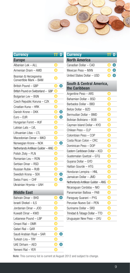

| <b>Currency</b>                                 |        | D |
|-------------------------------------------------|--------|---|
| <b>Europe</b>                                   |        |   |
| Albanian Lek - ALL                              | O      |   |
| Armenian Dram - AMD                             |        |   |
| Bosnian & Herzegovina<br>Convertible Mark - BAM |        |   |
| British Pound - GBP                             | $\Box$ | Œ |
| British Pound on Switzerland - GBP              | O      |   |
| Bulgarian Lev - BGN                             |        |   |
| Czech Republic Koruna - CZK                     |        |   |
| Croatian Kuna - HRK                             |        |   |
| Danish Krone - DKK                              |        | ⊂ |
| $Euro - EUR$                                    | D      |   |
| Hungarian Forint - HUF                          |        |   |
| Latvian Lats - LVL                              |        |   |
| Lithuanian Litas - LTL                          |        |   |
| Macedonian Denar - MKD                          |        |   |
| Norwegian Krone - NOK                           | O      |   |
| Netherlands Antillean Guilder - ANG             | O      |   |
| Polish Zloty - PLN                              |        |   |
| Romanian Leu - RON                              |        |   |
| Serbian Dinar - RSD                             |        |   |
| Russian Ruble - RUB                             |        |   |
| Swedish Krona - SEK                             |        |   |
| Swiss Franc - CHF                               |        |   |
| Ukrainian Hryvnia - UAH                         |        |   |
| <b>Middle East</b>                              |        |   |
| Debroin Dinor DUD                               |        |   |

| Bahrain Dinar - BHD       |  |
|---------------------------|--|
| Israeli Shekel - ILS      |  |
| Jordanian Dinar – JOD     |  |
| Kuwaiti Dinar - KWD       |  |
| Lebanese Pound – LBP      |  |
| Omani Rial - OMR          |  |
| Qatari Rial - QAR         |  |
| Saudi Arabian Riyal - SAR |  |
| Turkish Lira - TRY        |  |
| UAF Dirham - AFD          |  |
| Yemeni Rial - YFR         |  |

| <b>Currency</b>                                      |   | D         |
|------------------------------------------------------|---|-----------|
| <b>North America</b>                                 |   |           |
| Canadian Dollar - CAD                                |   | $\bullet$ |
| Mexican Peso - MXN                                   |   |           |
| United States Dollar - USD                           |   |           |
| <b>South &amp; Central America,</b><br>the Caribbean |   |           |
| Argentine Peso - ARS                                 |   |           |
| Bahamian Dollar - BSD                                |   |           |
| Barbados Dollar - BBD                                |   |           |
| Belize Dollar - BZD                                  |   |           |
| Bermudian Dollar - BMD                               |   |           |
| Bolivian Boliviano - BOB                             |   |           |
| Cayman Island Dollar - KYD                           | U |           |
| Chilean Peso - CLP                                   |   |           |
| Colombian Peso - COP                                 |   |           |
| Costa Rican Colon - CRC                              |   |           |
| Dominican Peso - DOP                                 |   |           |
| Eastern Caribbean Dollar - XCD                       |   |           |
| Guatemalan Quetzal - GTQ                             |   |           |
| Guyana Dollar - GYD                                  |   |           |
| Haitian Gourde - HTG                                 |   |           |
| Honduran Lempira - HNL                               |   |           |
| Jamaican Dollar - JMD                                |   |           |
| Netherlands Antillean Guilder - ANG                  |   |           |
| Nicaraguan Cordoba - NIO                             |   |           |
| Panamanian Balboa - PAB                              |   |           |
| Paraguay Guarani - PYG                               |   |           |
| Peruvian Nuevo Sol - PEN                             |   |           |
| Suriname Dollar - SRD                                |   |           |
| Trinidad & Tobago Dollar - TTD                       |   |           |
| Uruguayan New Peso - UYU                             |   |           |

**Note**: This currency list is current at August 2012 and subject to change.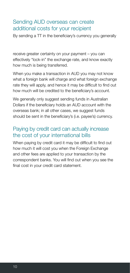#### <span id="page-11-0"></span>Sending AUD overseas can create additional costs for your recipient

By sending a TT in the beneficiary's currency you generally

receive greater certainty on your payment – you can effectively "lock-in" the exchange rate, and know exactly how much is being transferred.

When you make a transaction in AUD you may not know what a foreign bank will charge and what foreign exchange rate they will apply, and hence it may be difficult to find out how much will be credited to the beneficiary's account.

We generally only suggest sending funds in Australian Dollars if the beneficiary holds an AUD account with the overseas bank; in all other cases, we suggest funds should be sent in the beneficiary's (i.e. payee's) currency.

#### Paying by credit card can actually increase the cost of your international bills

When paying by credit card it may be difficult to find out how much it will cost you when the Foreign Exchange and other fees are applied to your transaction by the correspondent banks. You will find out when you see the final cost in your credit card statement.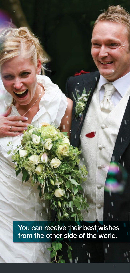You can receive their best wishes from the other side of the world.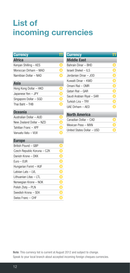### <span id="page-13-0"></span>**List of incoming currencies**

| <b>Currency</b>             |                          |
|-----------------------------|--------------------------|
| <b>Africa</b>               |                          |
| Kenyan Shilling - KES       |                          |
| Moroccan Dirham - MAD       |                          |
| Namibian Dollar - NAD       |                          |
| Asia                        |                          |
| Hong Kong Dollar - HKD      |                          |
| Japanese Yen - JPY          |                          |
| Singapore Dollar - SGD      | $\frac{1}{2}$            |
| Thai Baht - THB             |                          |
| Oceania                     |                          |
| Australian Dollar - AUD     |                          |
| New Zealand Dollar - NZD    | <b>OIOIO</b>             |
| Tahitian Franc - XPF        |                          |
| Vanuatu Vatu - VUV          |                          |
| <b>Europe</b>               |                          |
| British Pound - GBP         |                          |
| Czech Republic Koruna - CZK | $\bar{\bar{\textbf{0}}}$ |
| Danish Krone - DKK          |                          |
| $Euro - EUR$                |                          |
| Hungarian Forint - HUF      |                          |
| Latvian Lats - LVL          |                          |
| Lithuanian Litas - LTL      | <b>OOOOO</b>             |
| Norwegian Krone - NOK       |                          |
| Polish Zloty - PLN          |                          |
| Swedish Krona - SEK         |                          |
| Swiss Franc - CHF           |                          |

| <b>Currency</b>            |  |
|----------------------------|--|
| <b>Middle East</b>         |  |
| Bahrain Dinar – BHD        |  |
| Israeli Shekel – II S      |  |
| Jordanian Dinar – JOD      |  |
| Kuwaiti Dinar – KWD        |  |
| Omani Rial - OMR           |  |
| Qatari Rial - QAR          |  |
| Saudi Arabian Riyal - SAR  |  |
| Turkish Lira - TRY         |  |
| UAE Dirham - AFD           |  |
| <b>North America</b>       |  |
| Canadian Dollar - CAD      |  |
| Mexican Peso - MXN         |  |
| United States Dollar – USD |  |

**Note**: This currency list is current at August 2012 and subject to change. Speak to your local branch about accepted incoming foreign cheques currencies.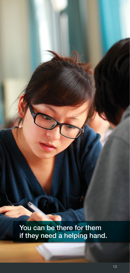You can be there for them if they need a helping hand.